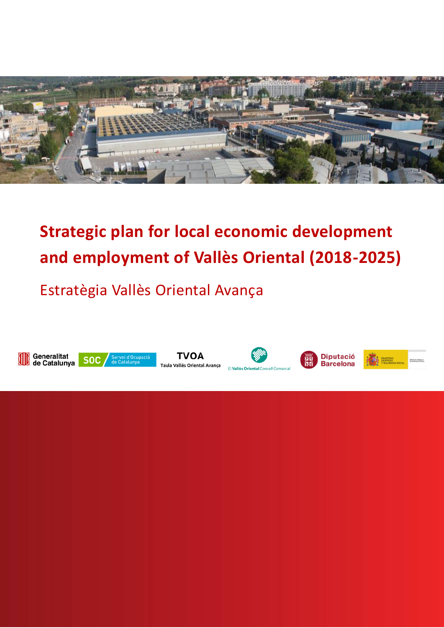

# **Strategic plan for local economic development and employment of Vallès Oriental (2018-2025)**

Estratègia Vallès Oriental Avança













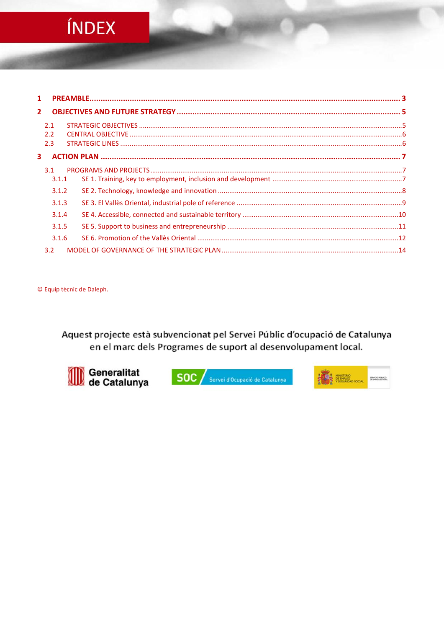# ÍNDEX

| $\mathbf{1}$   |       |  |
|----------------|-------|--|
| 2 <sup>1</sup> |       |  |
|                | 2.1   |  |
|                | 2.2   |  |
|                | 2.3   |  |
| 3              |       |  |
|                | 3.1   |  |
|                | 3.1.1 |  |
|                | 3.1.2 |  |
|                | 3.1.3 |  |
|                | 3.1.4 |  |
|                | 3.1.5 |  |
|                | 3.1.6 |  |
|                | 3.2   |  |

© Equip tècnic de Daleph.

Aquest projecte està subvencionat pel Servei Públic d'ocupació de Catalunya en el marc dels Programes de suport al desenvolupament local.



SOC / Servei d'Ocupació de Catalunya

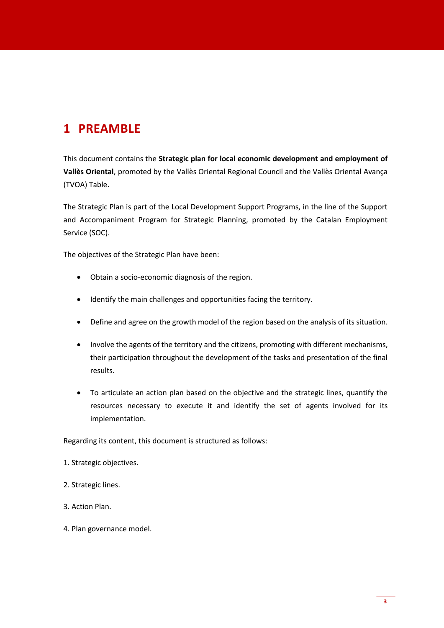# <span id="page-2-0"></span>**1 PREAMBLE**

This document contains the **Strategic plan for local economic development and employment of Vallès Oriental**, promoted by the Vallès Oriental Regional Council and the Vallès Oriental Avança (TVOA) Table.

The Strategic Plan is part of the Local Development Support Programs, in the line of the Support and Accompaniment Program for Strategic Planning, promoted by the Catalan Employment Service (SOC).

The objectives of the Strategic Plan have been:

- Obtain a socio-economic diagnosis of the region.
- Identify the main challenges and opportunities facing the territory.
- Define and agree on the growth model of the region based on the analysis of its situation.
- Involve the agents of the territory and the citizens, promoting with different mechanisms, their participation throughout the development of the tasks and presentation of the final results.
- To articulate an action plan based on the objective and the strategic lines, quantify the resources necessary to execute it and identify the set of agents involved for its implementation.

Regarding its content, this document is structured as follows:

- 1. Strategic objectives.
- 2. Strategic lines.
- 3. Action Plan.
- 4. Plan governance model.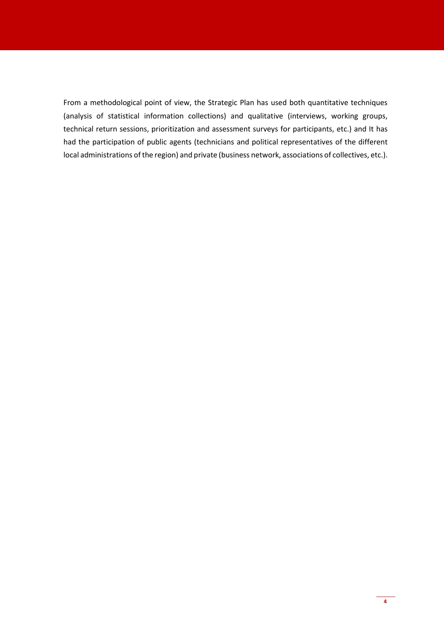From a methodological point of view, the Strategic Plan has used both quantitative techniques (analysis of statistical information collections) and qualitative (interviews, working groups, technical return sessions, prioritization and assessment surveys for participants, etc.) and It has had the participation of public agents (technicians and political representatives of the different local administrations of the region) and private (business network, associations of collectives, etc.).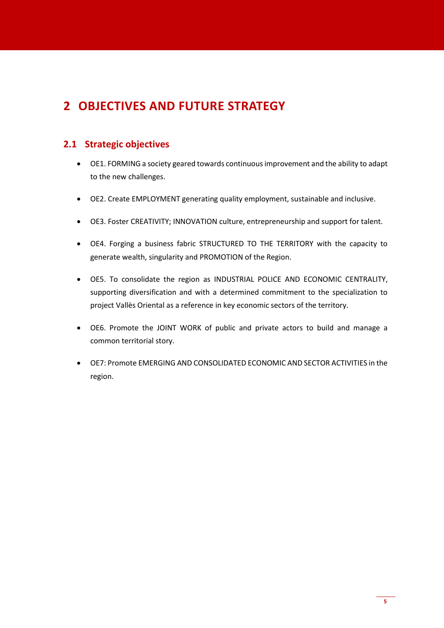# <span id="page-4-0"></span>**2 OBJECTIVES AND FUTURE STRATEGY**

## <span id="page-4-1"></span>**2.1 Strategic objectives**

- OE1. FORMING a society geared towards continuous improvement and the ability to adapt to the new challenges.
- OE2. Create EMPLOYMENT generating quality employment, sustainable and inclusive.
- OE3. Foster CREATIVITY; INNOVATION culture, entrepreneurship and support for talent.
- OE4. Forging a business fabric STRUCTURED TO THE TERRITORY with the capacity to generate wealth, singularity and PROMOTION of the Region.
- OE5. To consolidate the region as INDUSTRIAL POLICE AND ECONOMIC CENTRALITY, supporting diversification and with a determined commitment to the specialization to project Vallès Oriental as a reference in key economic sectors of the territory.
- OE6. Promote the JOINT WORK of public and private actors to build and manage a common territorial story.
- OE7: Promote EMERGING AND CONSOLIDATED ECONOMIC AND SECTOR ACTIVITIES in the region.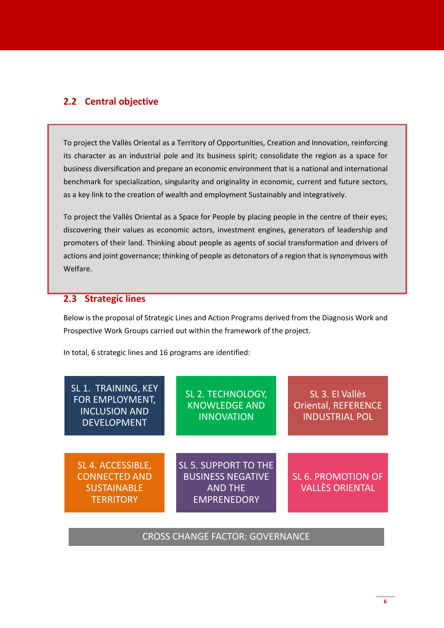## <span id="page-5-0"></span>**2.2 Central objective**

To project the Vallès Oriental as a Territory of Opportunities, Creation and Innovation, reinforcing its character as an industrial pole and its business spirit; consolidate the region as a space for business diversification and prepare an economic environment that is a national and international benchmark for specialization, singularity and originality in economic, current and future sectors, as a key link to the creation of wealth and employment Sustainably and integratively.

To project the Vallès Oriental as a Space for People by placing people in the centre of their eyes; discovering their values as economic actors, investment engines, generators of leadership and promoters of their land. Thinking about people as agents of social transformation and drivers of actions and joint governance; thinking of people as detonators of a region that is synonymous with Welfare.

### <span id="page-5-1"></span>**2.3 Strategic lines**

Below is the proposal of Strategic Lines and Action Programs derived from the Diagnosis Work and Prospective Work Groups carried out within the framework of the project.

In total, 6 strategic lines and 16 programs are identified:

| SL 1. TRAINING, KEY<br>FOR EMPLOYMENT,<br><b>INCLUSION AND</b><br><b>DEVELOPMENT</b> | SL 2. TECHNOLOGY,<br><b>KNOWLEDGE AND</b><br><b>INNOVATION</b>                                  | SL 3. El Vallès<br><b>Oriental, REFERENCE</b><br><b>INDUSTRIAL POL</b> |
|--------------------------------------------------------------------------------------|-------------------------------------------------------------------------------------------------|------------------------------------------------------------------------|
| SL 4. ACCESSIBLE,<br><b>CONNECTED AND</b><br><b>SUSTAINABLE</b><br><b>TERRITORY</b>  | <b>SL 5. SUPPORT TO THE</b><br><b>BUSINESS NEGATIVE</b><br><b>AND THE</b><br><b>EMPRENEDORY</b> | <b>SL 6. PROMOTION OF</b><br><b>VALLÈS ORIENTAL</b>                    |

CROSS CHANGE FACTOR: GOVERNANCE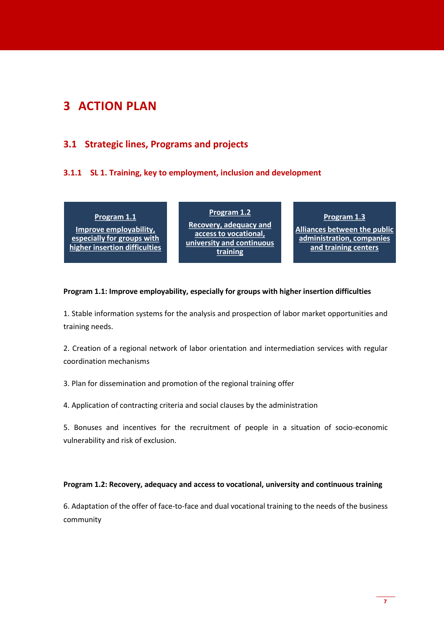# <span id="page-6-0"></span>**3 ACTION PLAN**

# <span id="page-6-1"></span>**3.1 Strategic lines, Programs and projects**

### <span id="page-6-2"></span>**3.1.1 SL 1. Training, key to employment, inclusion and development**

**Program 1.1 Improve employability,** 

**especially for groups with higher insertion difficulties**

**Program 1.2 Recovery, adequacy and access to vocational, university and continuous training**

**Program 1.3 Alliances between the public** 

**administration, companies and training centers**

#### **Program 1.1: Improve employability, especially for groups with higher insertion difficulties**

1. Stable information systems for the analysis and prospection of labor market opportunities and training needs.

2. Creation of a regional network of labor orientation and intermediation services with regular coordination mechanisms

3. Plan for dissemination and promotion of the regional training offer

4. Application of contracting criteria and social clauses by the administration

5. Bonuses and incentives for the recruitment of people in a situation of socio-economic vulnerability and risk of exclusion.

#### **Program 1.2: Recovery, adequacy and access to vocational, university and continuous training**

6. Adaptation of the offer of face-to-face and dual vocational training to the needs of the business community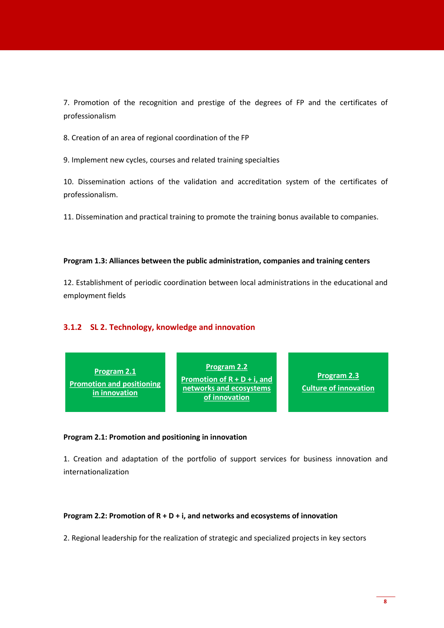7. Promotion of the recognition and prestige of the degrees of FP and the certificates of professionalism

8. Creation of an area of regional coordination of the FP

9. Implement new cycles, courses and related training specialties

10. Dissemination actions of the validation and accreditation system of the certificates of professionalism.

11. Dissemination and practical training to promote the training bonus available to companies.

#### **Program 1.3: Alliances between the public administration, companies and training centers**

12. Establishment of periodic coordination between local administrations in the educational and employment fields

#### <span id="page-7-0"></span>**3.1.2 SL 2. Technology, knowledge and innovation**

#### **Program 2.1: Promotion and positioning in innovation**

1. Creation and adaptation of the portfolio of support services for business innovation and internationalization

#### **Program 2.2: Promotion of R + D + i, and networks and ecosystems of innovation**

2. Regional leadership for the realization of strategic and specialized projects in key sectors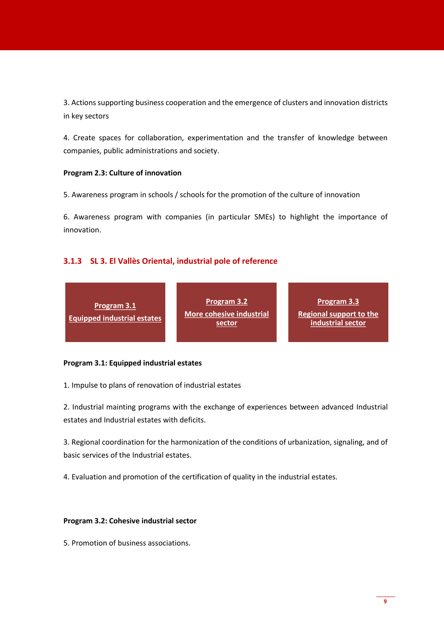3. Actions supporting business cooperation and the emergence of clusters and innovation districts in key sectors

4. Create spaces for collaboration, experimentation and the transfer of knowledge between companies, public administrations and society.

#### **Program 2.3: Culture of innovation**

5. Awareness program in schools / schools for the promotion of the culture of innovation

6. Awareness program with companies (in particular SMEs) to highlight the importance of innovation.

### <span id="page-8-0"></span>**3.1.3 SL 3. El Vallès Oriental, industrial pole of reference**

|  | Program 3.1<br><b>Equipped industrial estates</b> | <b>Program 3.2</b><br>More cohesive industrial<br>sector | Program 3.3<br><b>Regional support to the</b><br>industrial sector |
|--|---------------------------------------------------|----------------------------------------------------------|--------------------------------------------------------------------|
|--|---------------------------------------------------|----------------------------------------------------------|--------------------------------------------------------------------|

#### **Program 3.1: Equipped industrial estates**

1. Impulse to plans of renovation of industrial estates

2. Industrial mainting programs with the exchange of experiences between advanced Industrial estates and Industrial estates with deficits.

3. Regional coordination for the harmonization of the conditions of urbanization, signaling, and of basic services of the Industrial estates.

4. Evaluation and promotion of the certification of quality in the industrial estates.

#### **Program 3.2: Cohesive industrial sector**

5. Promotion of business associations.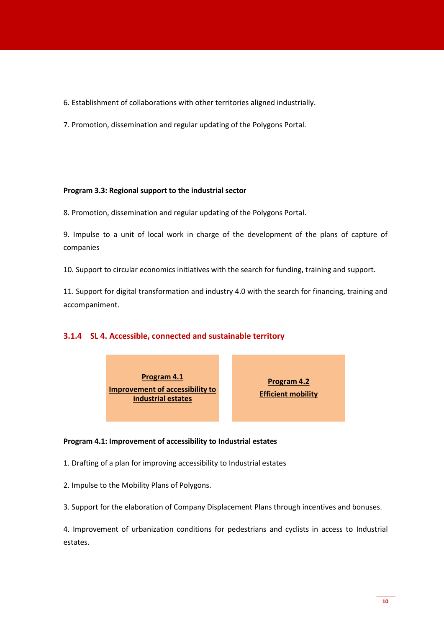- 6. Establishment of collaborations with other territories aligned industrially.
- 7. Promotion, dissemination and regular updating of the Polygons Portal.

#### **Program 3.3: Regional support to the industrial sector**

8. Promotion, dissemination and regular updating of the Polygons Portal.

9. Impulse to a unit of local work in charge of the development of the plans of capture of companies

10. Support to circular economics initiatives with the search for funding, training and support.

11. Support for digital transformation and industry 4.0 with the search for financing, training and accompaniment.

#### <span id="page-9-0"></span>**3.1.4 SL 4. Accessible, connected and sustainable territory**



**Program 4.2 Efficient mobility**

#### **Program 4.1: Improvement of accessibility to Industrial estates**

- 1. Drafting of a plan for improving accessibility to Industrial estates
- 2. Impulse to the Mobility Plans of Polygons.
- 3. Support for the elaboration of Company Displacement Plans through incentives and bonuses.

4. Improvement of urbanization conditions for pedestrians and cyclists in access to Industrial estates.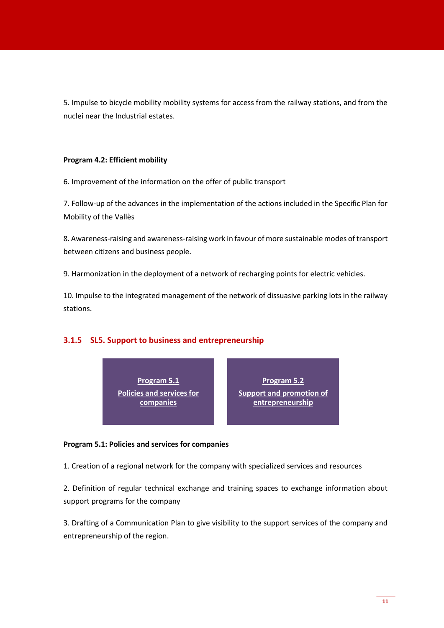5. Impulse to bicycle mobility mobility systems for access from the railway stations, and from the nuclei near the Industrial estates.

#### **Program 4.2: Efficient mobility**

6. Improvement of the information on the offer of public transport

7. Follow-up of the advances in the implementation of the actions included in the Specific Plan for Mobility of the Vallès

8. Awareness-raising and awareness-raising work in favour of more sustainable modes of transport between citizens and business people.

9. Harmonization in the deployment of a network of recharging points for electric vehicles.

10. Impulse to the integrated management of the network of dissuasive parking lots in the railway stations.

#### <span id="page-10-0"></span>**3.1.5 SL5. Support to business and entrepreneurship**

**Program 5.1 Policies and services for companies**

**Program 5.2 Support and promotion of entrepreneurship**

#### **Program 5.1: Policies and services for companies**

1. Creation of a regional network for the company with specialized services and resources

2. Definition of regular technical exchange and training spaces to exchange information about support programs for the company

3. Drafting of a Communication Plan to give visibility to the support services of the company and entrepreneurship of the region.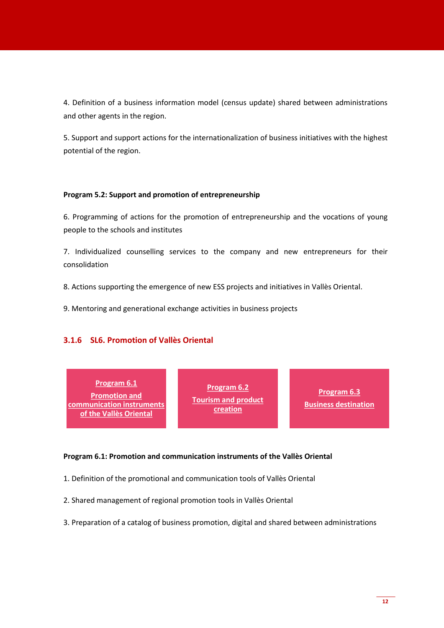4. Definition of a business information model (census update) shared between administrations and other agents in the region.

5. Support and support actions for the internationalization of business initiatives with the highest potential of the region.

#### **Program 5.2: Support and promotion of entrepreneurship**

6. Programming of actions for the promotion of entrepreneurship and the vocations of young people to the schools and institutes

7. Individualized counselling services to the company and new entrepreneurs for their consolidation

8. Actions supporting the emergence of new ESS projects and initiatives in Vallès Oriental.

9. Mentoring and generational exchange activities in business projects

#### <span id="page-11-0"></span>**3.1.6 SL6. Promotion of Vallès Oriental**

| Program 6.1<br><b>Promotion and</b><br>communication instruments<br>of the Vallès Oriental | <b>Program 6.2</b><br><b>Tourism and product</b><br>creation | <b>Program 6.3</b><br><b>Business destination</b> |
|--------------------------------------------------------------------------------------------|--------------------------------------------------------------|---------------------------------------------------|
|--------------------------------------------------------------------------------------------|--------------------------------------------------------------|---------------------------------------------------|

#### **Program 6.1: Promotion and communication instruments of the Vallès Oriental**

- 1. Definition of the promotional and communication tools of Vallès Oriental
- 2. Shared management of regional promotion tools in Vallès Oriental
- 3. Preparation of a catalog of business promotion, digital and shared between administrations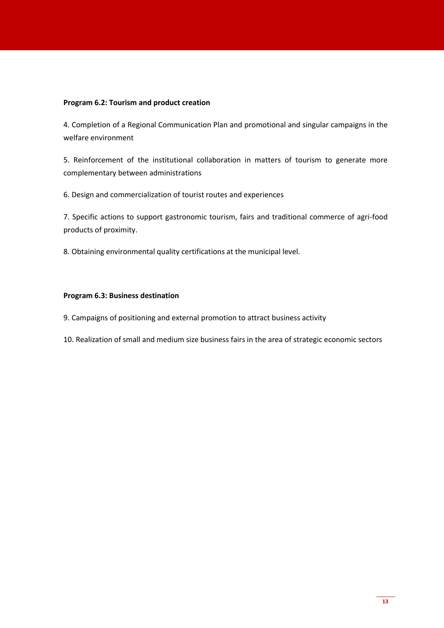#### **Program 6.2: Tourism and product creation**

4. Completion of a Regional Communication Plan and promotional and singular campaigns in the welfare environment

5. Reinforcement of the institutional collaboration in matters of tourism to generate more complementary between administrations

6. Design and commercialization of tourist routes and experiences

7. Specific actions to support gastronomic tourism, fairs and traditional commerce of agri-food products of proximity.

8. Obtaining environmental quality certifications at the municipal level.

#### **Program 6.3: Business destination**

9. Campaigns of positioning and external promotion to attract business activity

10. Realization of small and medium size business fairs in the area of strategic economic sectors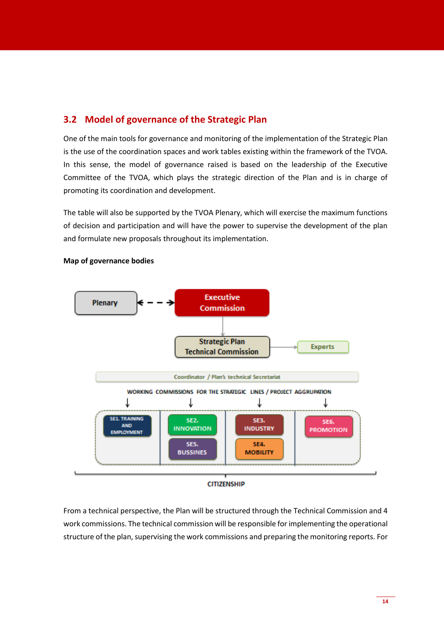## <span id="page-13-0"></span>**3.2 Model of governance of the Strategic Plan**

One of the main tools for governance and monitoring of the implementation of the Strategic Plan is the use of the coordination spaces and work tables existing within the framework of the TVOA. In this sense, the model of governance raised is based on the leadership of the Executive Committee of the TVOA, which plays the strategic direction of the Plan and is in charge of promoting its coordination and development.

The table will also be supported by the TVOA Plenary, which will exercise the maximum functions of decision and participation and will have the power to supervise the development of the plan and formulate new proposals throughout its implementation.



#### **Map of governance bodies**

From a technical perspective, the Plan will be structured through the Technical Commission and 4 work commissions. The technical commission will be responsible for implementing the operational structure of the plan, supervising the work commissions and preparing the monitoring reports. For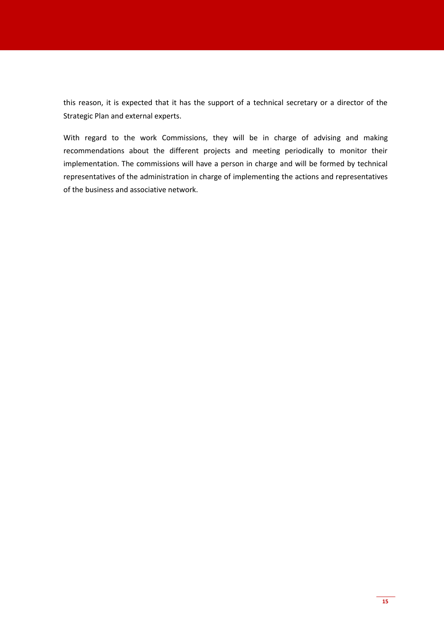this reason, it is expected that it has the support of a technical secretary or a director of the Strategic Plan and external experts.

With regard to the work Commissions, they will be in charge of advising and making recommendations about the different projects and meeting periodically to monitor their implementation. The commissions will have a person in charge and will be formed by technical representatives of the administration in charge of implementing the actions and representatives of the business and associative network.